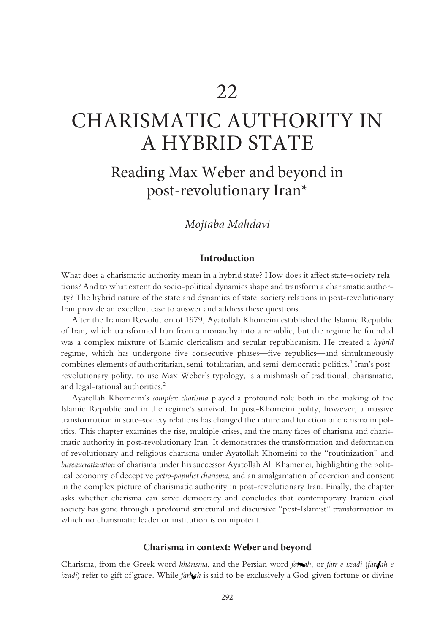# CHARISMATIC AUTHORITY IN A HYBRID STATE

# Reading Max Weber and beyond in post-revolutionary Iran\*

# *Mojtaba Mahdavi*

## **Introduction**

What does a charismatic authority mean in a hybrid state? How does it afect state–society relations? And to what extent do socio-political dynamics shape and transform a charismatic authority? The hybrid nature of the state and dynamics of state–society relations in post-revolutionary Iran provide an excellent case to answer and address these questions.

After the Iranian Revolution of 1979, Ayatollah Khomeini established the Islamic Republic of Iran, which transformed Iran from a monarchy into a republic, but the regime he founded was a complex mixture of Islamic clericalism and secular republicanism. He created a *hybrid*  regime, which has undergone five consecutive phases—five republics—and simultaneously combines elements of authoritarian, semi-totalitarian, and semi-democratic politics.<sup>1</sup> Iran's postrevolutionary polity, to use Max Weber's typology, is a mishmash of traditional, charismatic, and legal-rational authorities. 2

Ayatollah Khomeini's *complex charisma* played a profound role both in the making of the Islamic Republic and in the regime's survival. In post-Khomeini polity, however, a massive transformation in state–society relations has changed the nature and function of charisma in politics. This chapter examines the rise, multiple crises, and the many faces of charisma and charismatic authority in post-revolutionary Iran. It demonstrates the transformation and deformation of revolutionary and religious charisma under Ayatollah Khomeini to the "routinization" and *bureaucratization* of charisma under his successor Ayatollah Ali Khamenei, highlighting the political economy of deceptive *petro-populist charisma*, and an amalgamation of coercion and consent in the complex picture of charismatic authority in post-revolutionary Iran. Finally, the chapter asks whether charisma can serve democracy and concludes that contemporary Iranian civil society has gone through a profound structural and discursive "post-Islamist" transformation in which no charismatic leader or institution is omnipotent.

#### **Charisma in context: Weber and beyond**

Charisma, from the Greek word *khárisma*, and the Persian word *farnah*, or *farr-e izadi* (*farnah-e izadi*) refer to gift of grace. While *farimah* is said to be exclusively a God-given fortune or divine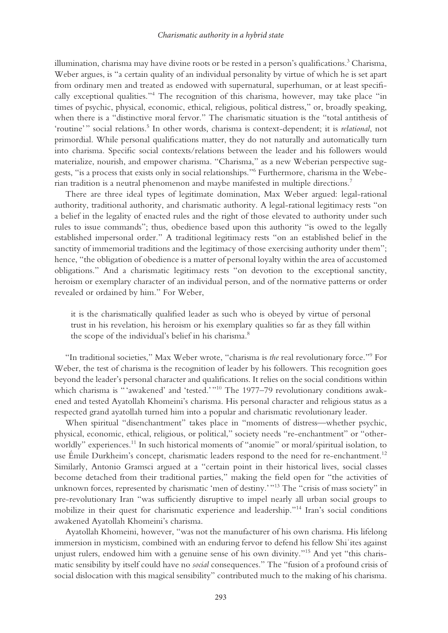illumination, charisma may have divine roots or be rested in a person's qualifications. 3 Charisma, Weber argues, is "a certain quality of an individual personality by virtue of which he is set apart from ordinary men and treated as endowed with supernatural, superhuman, or at least specifically exceptional qualities."4 The recognition of this charisma, however, may take place "in times of psychic, physical, economic, ethical, religious, political distress," or, broadly speaking, when there is a "distinctive moral fervor." The charismatic situation is the "total antithesis of 'routine'" social relations.<sup>5</sup> In other words, charisma is context-dependent; it is *relational*, not primordial. While personal qualifications matter, they do not naturally and automatically turn into charisma. Specific social contexts/relations between the leader and his followers would materialize, nourish, and empower charisma. "Charisma," as a new Weberian perspective suggests, "is a process that exists only in social relationships."6 Furthermore, charisma in the Weberian tradition is a neutral phenomenon and maybe manifested in multiple directions. 7

There are three ideal types of legitimate domination, Max Weber argued: legal-rational authority, traditional authority, and charismatic authority. A legal-rational legitimacy rests "on a belief in the legality of enacted rules and the right of those elevated to authority under such rules to issue commands"; thus, obedience based upon this authority "is owed to the legally established impersonal order." A traditional legitimacy rests "on an established belief in the sanctity of immemorial traditions and the legitimacy of those exercising authority under them"; hence, "the obligation of obedience is a matter of personal loyalty within the area of accustomed obligations." And a charismatic legitimacy rests "on devotion to the exceptional sanctity, heroism or exemplary character of an individual person, and of the normative patterns or order revealed or ordained by him." For Weber,

it is the charismatically qualified leader as such who is obeyed by virtue of personal trust in his revelation, his heroism or his exemplary qualities so far as they fall within the scope of the individual's belief in his charisma. 8

"In traditional societies," Max Weber wrote, "charisma is *the* real revolutionary force."9 For Weber, the test of charisma is the recognition of leader by his followers. This recognition goes beyond the leader's personal character and qualifications. It relies on the social conditions within which charisma is "'awakened' and 'tested.' "<sup>10</sup> The 1977–79 revolutionary conditions awakened and tested Ayatollah Khomeini's charisma. His personal character and religious status as a respected grand ayatollah turned him into a popular and charismatic revolutionary leader.

When spiritual "disenchantment" takes place in "moments of distress—whether psychic, physical, economic, ethical, religious, or political," society needs "re-enchantment" or "otherworldly" experiences.<sup>11</sup> In such historical moments of "anomie" or moral/spiritual isolation, to use Émile Durkheim's concept, charismatic leaders respond to the need for re-enchantment.<sup>12</sup> Similarly, Antonio Gramsci argued at a "certain point in their historical lives, social classes become detached from their traditional parties," making the field open for "the activities of unknown forces, represented by charismatic 'men of destiny.' "13 The "crisis of mass society" in pre-revolutionary Iran "was sufficiently disruptive to impel nearly all urban social groups to mobilize in their quest for charismatic experience and leadership."14 Iran's social conditions awakened Ayatollah Khomeini's charisma.

Ayatollah Khomeini, however, "was not the manufacturer of his own charisma. His lifelong immersion in mysticism, combined with an enduring fervor to defend his fellow Shiʿites against unjust rulers, endowed him with a genuine sense of his own divinity."<sup>15</sup> And yet "this charismatic sensibility by itself could have no *social* consequences." The "fusion of a profound crisis of social dislocation with this magical sensibility" contributed much to the making of his charisma.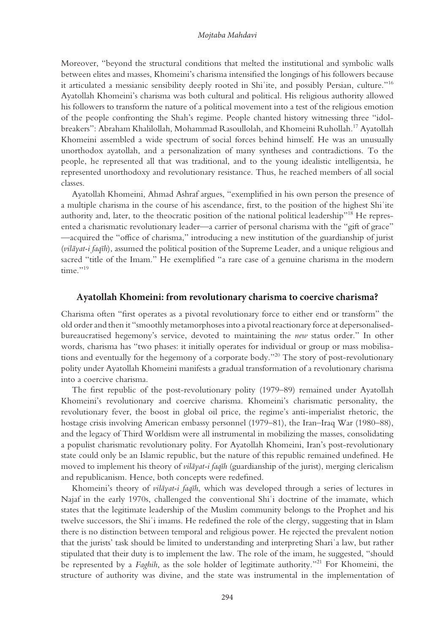Moreover, "beyond the structural conditions that melted the institutional and symbolic walls between elites and masses, Khomeini's charisma intensified the longings of his followers because it articulated a messianic sensibility deeply rooted in Shiʿite, and possibly Persian, culture."16 Ayatollah Khomeini's charisma was both cultural and political. His religious authority allowed his followers to transform the nature of a political movement into a test of the religious emotion of the people confronting the Shah's regime. People chanted history witnessing three "idolbreakers": Abraham Khalilollah, Mohammad Rasoullolah, and Khomeini Ruhollah.<sup>17</sup> Ayatollah Khomeini assembled a wide spectrum of social forces behind himself. He was an unusually unorthodox ayatollah, and a personalization of many syntheses and contradictions. To the people, he represented all that was traditional, and to the young idealistic intelligentsia, he represented unorthodoxy and revolutionary resistance. Thus, he reached members of all social classes.

Ayatollah Khomeini, Ahmad Ashraf argues, "exemplified in his own person the presence of a multiple charisma in the course of his ascendance, first, to the position of the highest Shiʿite authority and, later, to the theocratic position of the national political leadership"<sup>18</sup> He represented a charismatic revolutionary leader—a carrier of personal charisma with the "gift of grace" —acquired the "office of charisma," introducing a new institution of the guardianship of jurist (*vilāyat-i faqīh*), assumed the political position of the Supreme Leader, and a unique religious and sacred "title of the Imam." He exemplified "a rare case of a genuine charisma in the modern time."<sup>19</sup>

#### **Ayatollah Khomeini: from revolutionary charisma to coercive charisma?**

Charisma often "first operates as a pivotal revolutionary force to either end or transform" the old order and then it "smoothly metamorphoses into a pivotal reactionary force at depersonalisedbureaucratised hegemony's service, devoted to maintaining the *new* status order." In other words, charisma has "two phases: it initially operates for individual or group or mass mobilisations and eventually for the hegemony of a corporate body."<sup>20</sup> The story of post-revolutionary polity under Ayatollah Khomeini manifests a gradual transformation of a revolutionary charisma into a coercive charisma.

The first republic of the post-revolutionary polity (1979–89) remained under Ayatollah Khomeini's revolutionary and coercive charisma. Khomeini's charismatic personality, the revolutionary fever, the boost in global oil price, the regime's anti-imperialist rhetoric, the hostage crisis involving American embassy personnel (1979–81), the Iran–Iraq War (1980–88), and the legacy of Third Worldism were all instrumental in mobilizing the masses, consolidating a populist charismatic revolutionary polity. For Ayatollah Khomeini, Iran's post-revolutionary state could only be an Islamic republic, but the nature of this republic remained undefined. He moved to implement his theory of *vilāyat-i faqīh* (guardianship of the jurist), merging clericalism and republicanism. Hence, both concepts were redefined.

Khomeini's theory of *vilāyat-i faqīh*, which was developed through a series of lectures in Najaf in the early 1970s, challenged the conventional Shi'i doctrine of the imamate, which states that the legitimate leadership of the Muslim community belongs to the Prophet and his twelve successors, the Shiʿi imams. He redefined the role of the clergy, suggesting that in Islam there is no distinction between temporal and religious power. He rejected the prevalent notion that the jurists' task should be limited to understanding and interpreting Shariʿa law, but rather stipulated that their duty is to implement the law. The role of the imam, he suggested, "should be represented by a *Faghih*, as the sole holder of legitimate authority."21 For Khomeini, the structure of authority was divine, and the state was instrumental in the implementation of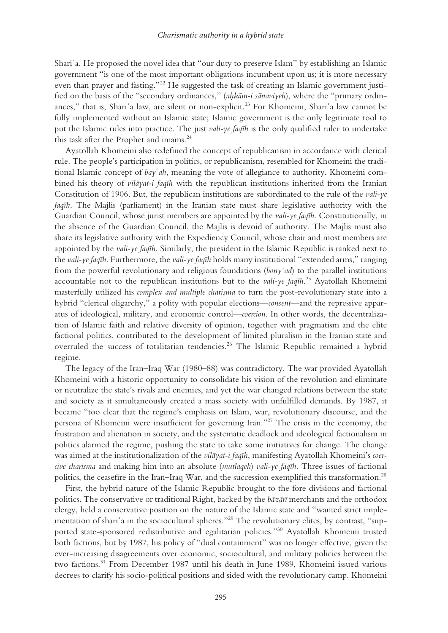Shariʿa. He proposed the novel idea that "our duty to preserve Islam" by establishing an Islamic government "is one of the most important obligations incumbent upon us; it is more necessary even than prayer and fasting."<sup>22</sup> He suggested the task of creating an Islamic government justified on the basis of the "secondary ordinances," (*ah.kām-i sānaviyeh*), where the "primary ordinances," that is, Shariʿa law, are silent or non-explicit.23 For Khomeini, Shariʿa law cannot be fully implemented without an Islamic state; Islamic government is the only legitimate tool to put the Islamic rules into practice. The just *vali-ye faqīh* is the only qualified ruler to undertake this task after the Prophet and imams.<sup>24</sup>

Ayatollah Khomeini also redefined the concept of republicanism in accordance with clerical rule. The people's participation in politics, or republicanism, resembled for Khomeini the traditional Islamic concept of *bay*ʿ*ah*, meaning the vote of allegiance to authority. Khomeini combined his theory of *vilāyat-i faqīh* with the republican institutions inherited from the Iranian Constitution of 1906. But, the republican institutions are subordinated to the rule of the *vali-ye faqīh*. The Majlis (parliament) in the Iranian state must share legislative authority with the Guardian Council, whose jurist members are appointed by the *vali-ye faqīh*. Constitutionally, in the absence of the Guardian Council, the Majlis is devoid of authority. The Majlis must also share its legislative authority with the Expediency Council, whose chair and most members are appointed by the *vali-ye faqīh*. Similarly, the president in the Islamic Republic is ranked next to the *vali-ye faqīh*. Furthermore, the *vali-ye faqīh* holds many institutional "extended arms," ranging from the powerful revolutionary and religious foundations (*bonyʾad*) to the parallel institutions accountable not to the republican institutions but to the *vali-ye faqīh*. 25 Ayatollah Khomeini masterfully utilized his *complex and multiple charisma* to turn the post-revolutionary state into a hybrid "clerical oligarchy," a polity with popular elections—*consent*—and the repressive apparatus of ideological, military, and economic control—*coercion*. In other words, the decentralization of Islamic faith and relative diversity of opinion, together with pragmatism and the elite factional politics, contributed to the development of limited pluralism in the Iranian state and overruled the success of totalitarian tendencies.<sup>26</sup> The Islamic Republic remained a hybrid regime.

The legacy of the Iran–Iraq War (1980–88) was contradictory. The war provided Ayatollah Khomeini with a historic opportunity to consolidate his vision of the revolution and eliminate or neutralize the state's rivals and enemies, and yet the war changed relations between the state and society as it simultaneously created a mass society with unfulfilled demands. By 1987, it became "too clear that the regime's emphasis on Islam, war, revolutionary discourse, and the persona of Khomeini were insufficient for governing Iran."<sup>27</sup> The crisis in the economy, the frustration and alienation in society, and the systematic deadlock and ideological factionalism in politics alarmed the regime, pushing the state to take some initiatives for change. The change was aimed at the institutionalization of the *vilāyat-i faqīh*, manifesting Ayatollah Khomeini's *coercive charisma* and making him into an absolute (*mutlaqeh*) *vali-ye faqīh*. Three issues of factional politics, the ceasefire in the Iran–Iraq War, and the succession exemplified this transformation.<sup>28</sup>

First, the hybrid nature of the Islamic Republic brought to the fore divisions and factional politics. The conservative or traditional Right, backed by the *bāzārī* merchants and the orthodox clergy, held a conservative position on the nature of the Islamic state and "wanted strict implementation of shari'a in the sociocultural spheres."<sup>29</sup> The revolutionary elites, by contrast, "supported state-sponsored redistributive and egalitarian policies."30 Ayatollah Khomeini trusted both factions, but by 1987, his policy of "dual containment" was no longer efective, given the ever-increasing disagreements over economic, sociocultural, and military policies between the two factions. 31 From December 1987 until his death in June 1989, Khomeini issued various decrees to clarify his socio-political positions and sided with the revolutionary camp. Khomeini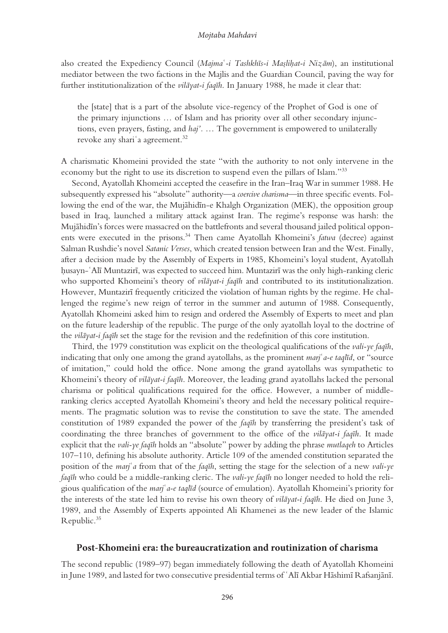also created the Expediency Council (*Majma*ʿ*-i Tashkhīs-i Mas.lih.at-i Niz.ām*), an institutional mediator between the two factions in the Majlis and the Guardian Council, paving the way for further institutionalization of the *vilāyat-i faqīh*. In January 1988, he made it clear that:

the [state] that is a part of the absolute vice-regency of the Prophet of God is one of the primary injunctions … of Islam and has priority over all other secondary injunctions, even prayers, fasting, and *haj'.* … The government is empowered to unilaterally revoke any shari`a agreement.<sup>32</sup>

A charismatic Khomeini provided the state "with the authority to not only intervene in the economy but the right to use its discretion to suspend even the pillars of Islam."<sup>33</sup>

Second, Ayatollah Khomeini accepted the ceasefire in the Iran–Iraq War in summer 1988. He subsequently expressed his "absolute" authority—a *coercive charisma*—in three specific events. Following the end of the war, the Mujāhidīn-e Khalgh Organization (MEK), the opposition group based in Iraq, launched a military attack against Iran. The regime's response was harsh: the Mujāhidīn's forces were massacred on the battlefronts and several thousand jailed political opponents were executed in the prisons.34 Then came Ayatollah Khomeini's *fatwa* (decree) against Salman Rushdie's novel *Satanic Verses*, which created tension between Iran and the West. Finally, after a decision made by the Assembly of Experts in 1985, Khomeini's loyal student, Ayatollah h.usayn-ʿAlī Muntazirī, was expected to succeed him. Muntazirī was the only high-ranking cleric who supported Khomeini's theory of *vilāyat-i faqīh* and contributed to its institutionalization. However, Muntazirī frequently criticized the violation of human rights by the regime. He challenged the regime's new reign of terror in the summer and autumn of 1988. Consequently, Ayatollah Khomeini asked him to resign and ordered the Assembly of Experts to meet and plan on the future leadership of the republic. The purge of the only ayatollah loyal to the doctrine of the *vilāyat-i faqīh* set the stage for the revision and the redefinition of this core institution.

Third, the 1979 constitution was explicit on the theological qualifications of the *vali-ye faqīh*, indicating that only one among the grand ayatollahs, as the prominent *marj*ʿ*a-e taqlīd*, or "source of imitation," could hold the office. None among the grand ayatollahs was sympathetic to Khomeini's theory of *vilāyat-i faqīh*. Moreover, the leading grand ayatollahs lacked the personal charisma or political qualifications required for the office. However, a number of middleranking clerics accepted Ayatollah Khomeini's theory and held the necessary political requirements. The pragmatic solution was to revise the constitution to save the state. The amended constitution of 1989 expanded the power of the *faqīh* by transferring the president's task of coordinating the three branches of government to the office of the *vilayat-i faqIh*. It made explicit that the *vali-ye faqīh* holds an "absolute" power by adding the phrase *mutlaqeh* to Articles 107–110, defining his absolute authority. Article 109 of the amended constitution separated the position of the *marj*ʿ*a* from that of the *faqīh*, setting the stage for the selection of a new *vali-ye faqīh* who could be a middle-ranking cleric. The *vali-ye faqīh* no longer needed to hold the religious qualification of the *marj*ʿ*a-e taqlīd* (source of emulation). Ayatollah Khomeini's priority for the interests of the state led him to revise his own theory of *vilāyat-i faqīh*. He died on June 3, 1989, and the Assembly of Experts appointed Ali Khamenei as the new leader of the Islamic Republic. 35

#### **Post-Khomeini era: the bureaucratization and routinization of charisma**

The second republic (1989–97) began immediately following the death of Ayatollah Khomeini in June 1989, and lasted for two consecutive presidential terms of ʿAlī Akbar Hāshimī Rafsanjānī.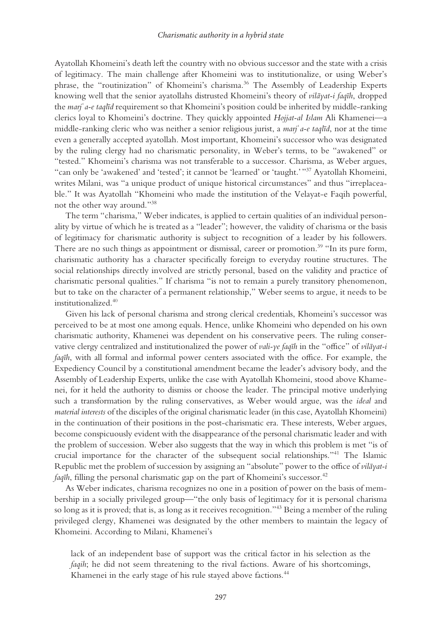Ayatollah Khomeini's death left the country with no obvious successor and the state with a crisis of legitimacy. The main challenge after Khomeini was to institutionalize, or using Weber's phrase, the "routinization" of Khomeini's charisma.36 The Assembly of Leadership Experts knowing well that the senior ayatollahs distrusted Khomeini's theory of *vilāyat-i faqīh*, dropped the *marj*ʿ*a-e taqlīd* requirement so that Khomeini's position could be inherited by middle-ranking clerics loyal to Khomeini's doctrine. They quickly appointed *Hojjat-al Islam* Ali Khamenei—a middle-ranking cleric who was neither a senior religious jurist, a *marj*ʿ*a-e taqlīd*, nor at the time even a generally accepted ayatollah. Most important, Khomeini's successor who was designated by the ruling clergy had no charismatic personality, in Weber's terms, to be "awakened" or "tested." Khomeini's charisma was not transferable to a successor. Charisma, as Weber argues, "can only be 'awakened' and 'tested'; it cannot be 'learned' or 'taught.' "37 Ayatollah Khomeini, writes Milani, was "a unique product of unique historical circumstances" and thus "irreplaceable." It was Ayatollah "Khomeini who made the institution of the Velayat-e Faqih powerful, not the other way around."38

The term "charisma," Weber indicates, is applied to certain qualities of an individual personality by virtue of which he is treated as a "leader"; however, the validity of charisma or the basis of legitimacy for charismatic authority is subject to recognition of a leader by his followers. There are no such things as appointment or dismissal, career or promotion.<sup>39</sup> "In its pure form, charismatic authority has a character specifically foreign to everyday routine structures. The social relationships directly involved are strictly personal, based on the validity and practice of charismatic personal qualities." If charisma "is not to remain a purely transitory phenomenon, but to take on the character of a permanent relationship," Weber seems to argue, it needs to be institutionalized.40

Given his lack of personal charisma and strong clerical credentials, Khomeini's successor was perceived to be at most one among equals. Hence, unlike Khomeini who depended on his own charismatic authority, Khamenei was dependent on his conservative peers. The ruling conservative clergy centralized and institutionalized the power of *vali-ye faqīh* in the "office" of *vilāyat-i faqīh*, with all formal and informal power centers associated with the office. For example, the Expediency Council by a constitutional amendment became the leader's advisory body, and the Assembly of Leadership Experts, unlike the case with Ayatollah Khomeini, stood above Khamenei, for it held the authority to dismiss or choose the leader. The principal motive underlying such a transformation by the ruling conservatives, as Weber would argue, was the *ideal* and *material interests* of the disciples of the original charismatic leader (in this case, Ayatollah Khomeini) in the continuation of their positions in the post-charismatic era. These interests, Weber argues, become conspicuously evident with the disappearance of the personal charismatic leader and with the problem of succession. Weber also suggests that the way in which this problem is met "is of crucial importance for the character of the subsequent social relationships."41 The Islamic Republic met the problem of succession by assigning an "absolute" power to the office of *vilayat-i faqīh*, filling the personal charismatic gap on the part of Khomeini's successor. 42

As Weber indicates, charisma recognizes no one in a position of power on the basis of membership in a socially privileged group—"the only basis of legitimacy for it is personal charisma so long as it is proved; that is, as long as it receives recognition."43 Being a member of the ruling privileged clergy, Khamenei was designated by the other members to maintain the legacy of Khomeini. According to Milani, Khamenei's

lack of an independent base of support was the critical factor in his selection as the *faqih*; he did not seem threatening to the rival factions. Aware of his shortcomings, Khamenei in the early stage of his rule stayed above factions. 44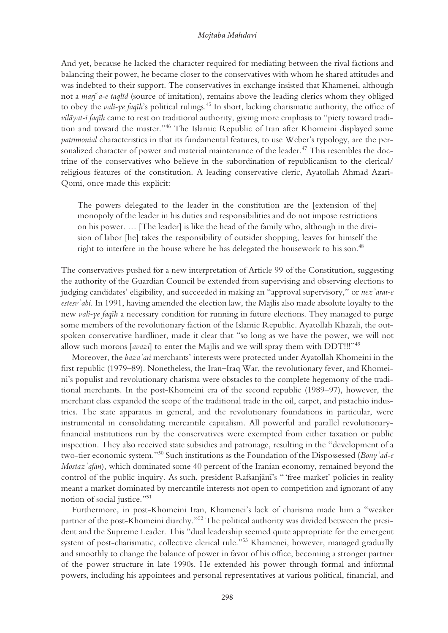And yet, because he lacked the character required for mediating between the rival factions and balancing their power, he became closer to the conservatives with whom he shared attitudes and was indebted to their support. The conservatives in exchange insisted that Khamenei, although not a *marj*ʿ*a-e taqlīd* (source of imitation), remains above the leading clerics whom they obliged to obey the *vali-ye faqIh*'s political rulings.<sup>45</sup> In short, lacking charismatic authority, the office of *vilāyat-i faqīh* came to rest on traditional authority, giving more emphasis to "piety toward tradition and toward the master."46 The Islamic Republic of Iran after Khomeini displayed some *patrimonial* characteristics in that its fundamental features, to use Weber's typology, are the personalized character of power and material maintenance of the leader. $^{47}$  This resembles the doctrine of the conservatives who believe in the subordination of republicanism to the clerical/ religious features of the constitution. A leading conservative cleric, Ayatollah Ahmad Azari-Qomi, once made this explicit:

The powers delegated to the leader in the constitution are the [extension of the] monopoly of the leader in his duties and responsibilities and do not impose restrictions on his power. … [The leader] is like the head of the family who, although in the division of labor [he] takes the responsibility of outsider shopping, leaves for himself the right to interfere in the house where he has delegated the housework to his son.<sup>48</sup>

The conservatives pushed for a new interpretation of Article 99 of the Constitution, suggesting the authority of the Guardian Council be extended from supervising and observing elections to judging candidates' eligibility, and succeeded in making an "approval supervisory," or *nezʾarat-e estesvʾabi*. In 1991, having amended the election law, the Majlis also made absolute loyalty to the new *vali-ye faqīh* a necessary condition for running in future elections. They managed to purge some members of the revolutionary faction of the Islamic Republic. Ayatollah Khazali, the outspoken conservative hardliner, made it clear that "so long as we have the power, we will not allow such morons [avazi] to enter the Majlis and we will spray them with DDT!!!"<sup>49</sup>

Moreover, the *bazaʾari* merchants' interests were protected under Ayatollah Khomeini in the first republic (1979–89). Nonetheless, the Iran–Iraq War, the revolutionary fever, and Khomeini's populist and revolutionary charisma were obstacles to the complete hegemony of the traditional merchants. In the post-Khomeini era of the second republic (1989–97), however, the merchant class expanded the scope of the traditional trade in the oil, carpet, and pistachio industries. The state apparatus in general, and the revolutionary foundations in particular, were instrumental in consolidating mercantile capitalism. All powerful and parallel revolutionaryfinancial institutions run by the conservatives were exempted from either taxation or public inspection. They also received state subsidies and patronage, resulting in the "development of a two-tier economic system."50 Such institutions as the Foundation of the Dispossessed (*Bonyʾad-e Mostazʾafan*), which dominated some 40 percent of the Iranian economy, remained beyond the control of the public inquiry. As such, president Rafsanjānī's " 'free market' policies in reality meant a market dominated by mercantile interests not open to competition and ignorant of any notion of social justice."51

Furthermore, in post-Khomeini Iran, Khamenei's lack of charisma made him a "weaker partner of the post-Khomeini diarchy."<sup>52</sup> The political authority was divided between the president and the Supreme Leader. This "dual leadership seemed quite appropriate for the emergent system of post-charismatic, collective clerical rule."<sup>53</sup> Khamenei, however, managed gradually and smoothly to change the balance of power in favor of his office, becoming a stronger partner of the power structure in late 1990s. He extended his power through formal and informal powers, including his appointees and personal representatives at various political, financial, and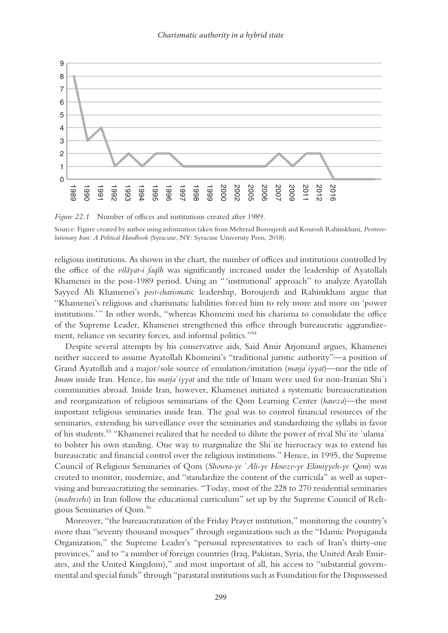

*Figure 22.1* Number of offices and institutions created after 1989.

Source: Figure created by author using information taken from Mehrzad Boroujerdi and Kourosh Rahimkhani, *Postrevolutionary Iran: A Political Handbook* (Syracuse, NY: Syracuse University Press, 2018).

religious institutions. As shown in the chart, the number of offices and institutions controlled by the office of the *vilayat-i faqili* was significantly increased under the leadership of Ayatollah Khamenei in the post-1989 period. Using an " 'institutional' approach" to analyze Ayatollah Sayyed Ali Khamenei's *post-charismati*c leadership, Boroujerdi and Rahimkhani argue that "Khamenei's religious and charismatic liabilities forced him to rely more and more on 'power institutions.'" In other words, "whereas Khomeini used his charisma to consolidate the office of the Supreme Leader, Khamenei strengthened this office through bureaucratic aggrandizement, reliance on security forces, and informal politics."54

Despite several attempts by his conservative aids, Said Amir Arjomand argues, Khamenei neither succeed to assume Ayatollah Khomeini's "traditional juristic authority"—a position of Grand Ayatollah and a major/sole source of emulation/imitation (*marja*ʿ*iyyat*)—nor the title of *Imam* inside Iran. Hence, his *marja*ʿ*iyyat* and the title of Imam were used for non-Iranian Shiʿi communities abroad. Inside Iran, however, Khamenei initiated a systematic bureaucratization and reorganization of religious seminarians of the Qom Learning Center (*hawza*)—the most important religious seminaries inside Iran. The goal was to control financial resources of the seminaries, extending his surveillance over the seminaries and standardizing the syllabi in favor of his students.55 "Khamenei realized that he needed to dilute the power of rival Shiʿite ʿulamaʾ to bolster his own standing. One way to marginalize the Shiʿite hierocracy was to extend his bureaucratic and financial control over the religious institutions." Hence, in 1995, the Supreme Council of Religious Seminaries of Qom (*Showra-ye* ʿ*Ali-ye Howze-ye Elimiyyeh-ye Qom*) was created to monitor, modernize, and "standardize the content of the curricula" as well as supervising and bureaucratizing the seminaries. "Today, most of the 228 to 270 residential seminaries (*madresehs*) in Iran follow the educational curriculum" set up by the Supreme Council of Religious Seminaries of Qom.56

Moreover, "the bureaucratization of the Friday Prayer institution," monitoring the country's more than "seventy thousand mosques" through organizations such as the "Islamic Propaganda Organization," the Supreme Leader's "personal representatives to each of Iran's thirty-one provinces," and to "a number of foreign countries (Iraq, Pakistan, Syria, the United Arab Emirates, and the United Kingdom)," and most important of all, his access to "substantial governmental and special funds" through "parastatal institutions such as Foundation for the Dispossessed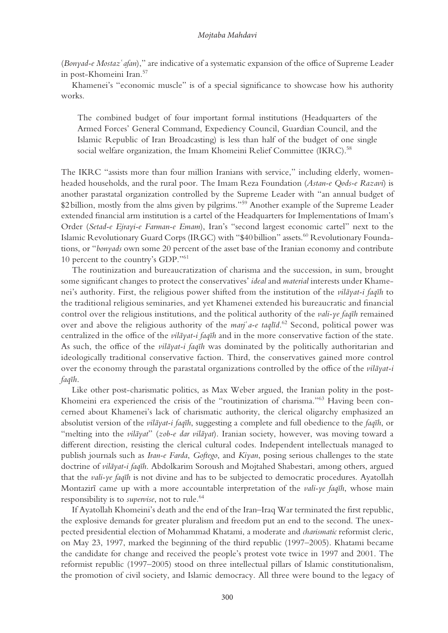(*Bonyad-e Mostaz' afan*)," are indicative of a systematic expansion of the office of Supreme Leader in post-Khomeini Iran.<sup>57</sup>

Khamenei's "economic muscle" is of a special significance to showcase how his authority works.

The combined budget of four important formal institutions (Headquarters of the Armed Forces' General Command, Expediency Council, Guardian Council, and the Islamic Republic of Iran Broadcasting) is less than half of the budget of one single social welfare organization, the Imam Khomeini Relief Committee (IKRC).<sup>58</sup>

The IKRC "assists more than four million Iranians with service," including elderly, womenheaded households, and the rural poor. The Imam Reza Foundation (*Astan-e Qods-e Razavi*) is another parastatal organization controlled by the Supreme Leader with "an annual budget of \$2 billion, mostly from the alms given by pilgrims."<sup>59</sup> Another example of the Supreme Leader extended financial arm institution is a cartel of the Headquarters for Implementations of Imam's Order (*Setad-e Ejrayi-e Farman-e Emam*), Iran's "second largest economic cartel" next to the Islamic Revolutionary Guard Corps (IRGC) with "\$40 billion" assets.<sup>60</sup> Revolutionary Foundations, or "*bonyads* own some 20 percent of the asset base of the Iranian economy and contribute 10 percent to the country's GDP."61

The routinization and bureaucratization of charisma and the succession, in sum, brought some significant changes to protect the conservatives' *ideal* and *material* interests under Khamenei's authority. First, the religious power shifted from the institution of the *vilāyat-i faqīh* to the traditional religious seminaries, and yet Khamenei extended his bureaucratic and financial control over the religious institutions, and the political authority of the *vali-ye faqīh* remained over and above the religious authority of the *marj*ʿ*a-e taqlīd*. 62 Second, political power was centralized in the office of the *vilāyat-i faqīh* and in the more conservative faction of the state. As such, the office of the *vilayat-i faqIh* was dominated by the politically authoritarian and ideologically traditional conservative faction. Third, the conservatives gained more control over the economy through the parastatal organizations controlled by the office of the *vilayat-i faqīh*.

Like other post-charismatic politics, as Max Weber argued, the Iranian polity in the post-Khomeini era experienced the crisis of the "routinization of charisma."<sup>63</sup> Having been concerned about Khamenei's lack of charismatic authority, the clerical oligarchy emphasized an absolutist version of the *vilāyat-i faqīh*, suggesting a complete and full obedience to the *faqīh*, or "melting into the *vilāyat*" (*zob-e dar vilāyat*). Iranian society, however, was moving toward a diferent direction, resisting the clerical cultural codes. Independent intellectuals managed to publish journals such as *Iran-e Farda*, *Goftego*, and *Kiyan*, posing serious challenges to the state doctrine of *vilāyat-i faqīh*. Abdolkarim Soroush and Mojtahed Shabestari, among others, argued that the *vali-ye faqīh* is not divine and has to be subjected to democratic procedures. Ayatollah Montazirī came up with a more accountable interpretation of the *vali-ye faqīh*, whose main responsibility is to *supervise*, not to rule. 64

If Ayatollah Khomeini's death and the end of the Iran–Iraq War terminated the first republic, the explosive demands for greater pluralism and freedom put an end to the second. The unexpected presidential election of Mohammad Khatami, a moderate and *charismatic* reformist cleric, on May 23, 1997, marked the beginning of the third republic (1997–2005). Khatami became the candidate for change and received the people's protest vote twice in 1997 and 2001. The reformist republic (1997–2005) stood on three intellectual pillars of Islamic constitutionalism, the promotion of civil society, and Islamic democracy. All three were bound to the legacy of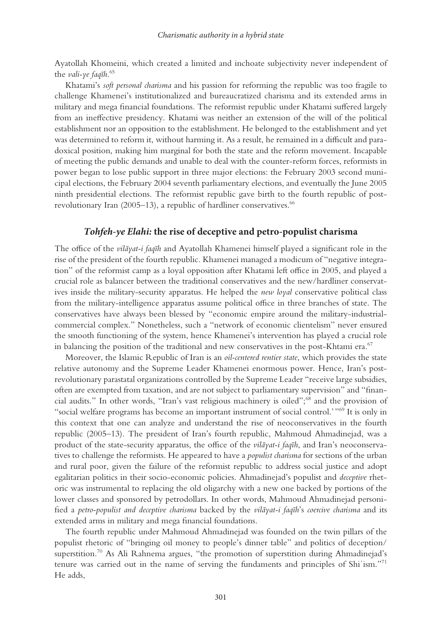Ayatollah Khomeini, which created a limited and inchoate subjectivity never independent of the *vali-ye faqīh*. 65

Khatami's *soft personal charisma* and his passion for reforming the republic was too fragile to challenge Khamenei's institutionalized and bureaucratized charisma and its extended arms in military and mega financial foundations. The reformist republic under Khatami sufered largely from an inefective presidency. Khatami was neither an extension of the will of the political establishment nor an opposition to the establishment. He belonged to the establishment and yet was determined to reform it, without harming it. As a result, he remained in a difficult and paradoxical position, making him marginal for both the state and the reform movement. Incapable of meeting the public demands and unable to deal with the counter-reform forces, reformists in power began to lose public support in three major elections: the February 2003 second municipal elections, the February 2004 seventh parliamentary elections, and eventually the June 2005 ninth presidential elections. The reformist republic gave birth to the fourth republic of postrevolutionary Iran (2005–13), a republic of hardliner conservatives.<sup>66</sup>

#### *Tohfeh-ye Elahi:* **the rise of deceptive and petro-populist charisma**

The office of the *vilāyat-i faqīh* and Ayatollah Khamenei himself played a significant role in the rise of the president of the fourth republic. Khamenei managed a modicum of "negative integration" of the reformist camp as a loyal opposition after Khatami left office in 2005, and played a crucial role as balancer between the traditional conservatives and the new/hardliner conservatives inside the military-security apparatus. He helped the *new loyal* conservative political class from the military-intelligence apparatus assume political office in three branches of state. The conservatives have always been blessed by "economic empire around the military-industrialcommercial complex." Nonetheless, such a "network of economic clientelism" never ensured the smooth functioning of the system, hence Khamenei's intervention has played a crucial role in balancing the position of the traditional and new conservatives in the post-Khtami era.<sup>67</sup>

Moreover, the Islamic Republic of Iran is an *oil-centered rentier state*, which provides the state relative autonomy and the Supreme Leader Khamenei enormous power. Hence, Iran's postrevolutionary parastatal organizations controlled by the Supreme Leader "receive large subsidies, often are exempted from taxation, and are not subject to parliamentary supervision" and "financial audits." In other words, "Iran's vast religious machinery is oiled";<sup>68</sup> and the provision of "social welfare programs has become an important instrument of social control.' "69 It is only in this context that one can analyze and understand the rise of neoconservatives in the fourth republic (2005–13). The president of Iran's fourth republic, Mahmoud Ahmadinejad, was a product of the state-security apparatus, the office of the *vil* $\bar{a}$ *yat-i faqīh*, and Iran's neoconservatives to challenge the reformists. He appeared to have a *populist charisma* for sections of the urban and rural poor, given the failure of the reformist republic to address social justice and adopt egalitarian politics in their socio-economic policies. Ahmadinejad's populist and *deceptive* rhetoric was instrumental to replacing the old oligarchy with a new one backed by portions of the lower classes and sponsored by petrodollars. In other words, Mahmoud Ahmadinejad personified a *petro-populist and deceptive charisma* backed by the *vilāyat-i faqīh*'s *coercive charisma* and its extended arms in military and mega financial foundations.

The fourth republic under Mahmoud Ahmadinejad was founded on the twin pillars of the populist rhetoric of "bringing oil money to people's dinner table" and politics of deception/ superstition.<sup>70</sup> As Ali Rahnema argues, "the promotion of superstition during Ahmadinejad's tenure was carried out in the name of serving the fundaments and principles of Shiʿism."71 He adds,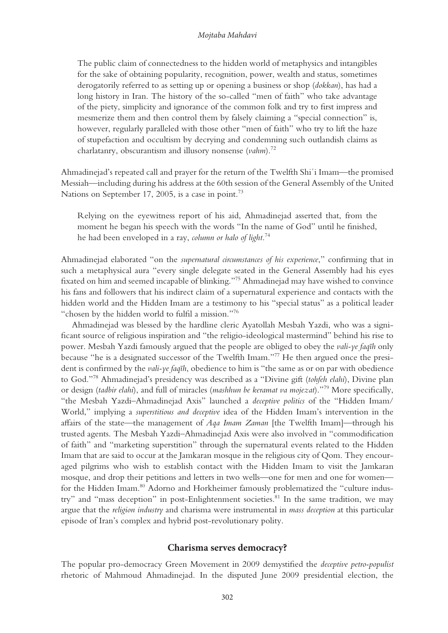The public claim of connectedness to the hidden world of metaphysics and intangibles for the sake of obtaining popularity, recognition, power, wealth and status, sometimes derogatorily referred to as setting up or opening a business or shop (*dokkan*), has had a long history in Iran. The history of the so-called "men of faith" who take advantage of the piety, simplicity and ignorance of the common folk and try to first impress and mesmerize them and then control them by falsely claiming a "special connection" is, however, regularly paralleled with those other "men of faith" who try to lift the haze of stupefaction and occultism by decrying and condemning such outlandish claims as charlatanry, obscurantism and illusory nonsense (*vahm*).72

Ahmadinejad's repeated call and prayer for the return of the Twelfth Shiʿi Imam—the promised Messiah—including during his address at the 60th session of the General Assembly of the United Nations on September 17, 2005, is a case in point.<sup>73</sup>

Relying on the eyewitness report of his aid, Ahmadinejad asserted that, from the moment he began his speech with the words "In the name of God" until he finished, he had been enveloped in a ray, *column or halo of light*. 74

Ahmadinejad elaborated "on the *supernatural circumstances of his experience*," confirming that in such a metaphysical aura "every single delegate seated in the General Assembly had his eyes fixated on him and seemed incapable of blinking."75 Ahmadinejad may have wished to convince his fans and followers that his indirect claim of a supernatural experience and contacts with the hidden world and the Hidden Imam are a testimony to his "special status" as a political leader "chosen by the hidden world to fulfil a mission."76

Ahmadinejad was blessed by the hardline cleric Ayatollah Mesbah Yazdi, who was a significant source of religious inspiration and "the religio-ideological mastermind" behind his rise to power. Mesbah Yazdi famously argued that the people are obliged to obey the *vali-ye faqīh* only because "he is a designated successor of the Twelfth Imam."77 He then argued once the president is confirmed by the *vali-ye faqīh*, obedience to him is "the same as or on par with obedience to God."78 Ahmadinejad's presidency was described as a "Divine gift (*tohfeh elahi*), Divine plan or design (*tadbir elahi*), and full of miracles (*mashhun be keramat va mojezat*)."79 More specifically, "the Mesbah Yazdi–Ahmadinejad Axis" launched a *deceptive politics* of the "Hidden Imam/ World," implying a *superstitious and deceptive* idea of the Hidden Imam's intervention in the afairs of the state—the management of *Aqa Imam Zaman* [the Twelfth Imam]—through his trusted agents. The Mesbah Yazdi–Ahmadinejad Axis were also involved in "commodification of faith" and "marketing superstition" through the supernatural events related to the Hidden Imam that are said to occur at the Jamkaran mosque in the religious city of Qom. They encouraged pilgrims who wish to establish contact with the Hidden Imam to visit the Jamkaran mosque, and drop their petitions and letters in two wells—one for men and one for women for the Hidden Imam.<sup>80</sup> Adorno and Horkheimer famously problematized the "culture industry" and "mass deception" in post-Enlightenment societies.<sup>81</sup> In the same tradition, we may argue that the *religion industry* and charisma were instrumental in *mass deception* at this particular episode of Iran's complex and hybrid post-revolutionary polity.

### **Charisma serves democracy?**

The popular pro-democracy Green Movement in 2009 demystified the *deceptive petro-populist*  rhetoric of Mahmoud Ahmadinejad*.* In the disputed June 2009 presidential election, the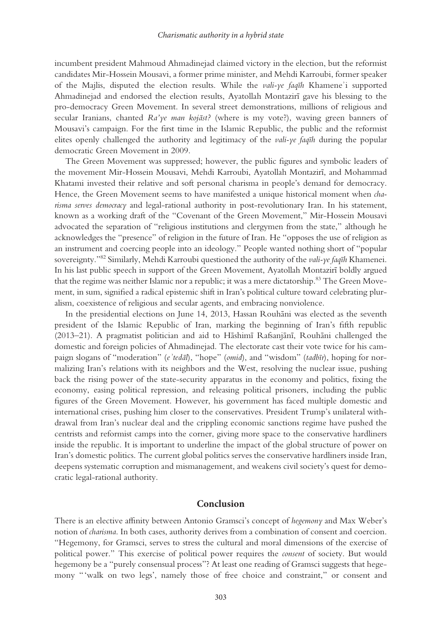#### *Charismatic authority in a hybrid state*

incumbent president Mahmoud Ahmadinejad claimed victory in the election, but the reformist candidates Mir-Hossein Mousavi, a former prime minister, and Mehdi Karroubi, former speaker of the Majlis, disputed the election results. While the *vali-ye faqīh* Khameneʾi supported Ahmadinejad and endorsed the election results, Ayatollah Montazirī gave his blessing to the pro-democracy Green Movement. In several street demonstrations, millions of religious and secular Iranians, chanted *Ra'ye man kojāst?* (where is my vote?), waving green banners of Mousavi's campaign. For the first time in the Islamic Republic, the public and the reformist elites openly challenged the authority and legitimacy of the *vali-ye faqīh* during the popular democratic Green Movement in 2009.

The Green Movement was suppressed; however, the public figures and symbolic leaders of the movement Mir-Hossein Mousavi, Mehdi Karroubi, Ayatollah Montazirī, and Mohammad Khatami invested their relative and soft personal charisma in people's demand for democracy. Hence, the Green Movement seems to have manifested a unique historical moment when *charisma serves democracy* and legal-rational authority in post-revolutionary Iran. In his statement, known as a working draft of the "Covenant of the Green Movement," Mir-Hossein Mousavi advocated the separation of "religious institutions and clergymen from the state," although he acknowledges the "presence" of religion in the future of Iran. He "opposes the use of religion as an instrument and coercing people into an ideology." People wanted nothing short of "popular sovereignty."82 Similarly, Mehdi Karroubi questioned the authority of the *vali-ye faqīh* Khamenei. In his last public speech in support of the Green Movement, Ayatollah Montazirī boldly argued that the regime was neither Islamic nor a republic; it was a mere dictatorship.<sup>83</sup> The Green Movement, in sum, signified a radical epistemic shift in Iran's political culture toward celebrating pluralism, coexistence of religious and secular agents, and embracing nonviolence.

In the presidential elections on June 14, 2013, Hassan Rouhāni was elected as the seventh president of the Islamic Republic of Iran, marking the beginning of Iran's fifth republic (2013–21). A pragmatist politician and aid to Hāshimī Rafsanjānī, Rouhāni challenged the domestic and foreign policies of Ahmadinejad. The electorate cast their vote twice for his campaign slogans of "moderation" (*eʾtedāl*), "hope" (*omid*), and "wisdom" (*tadbīr*), hoping for normalizing Iran's relations with its neighbors and the West, resolving the nuclear issue, pushing back the rising power of the state-security apparatus in the economy and politics, fixing the economy, easing political repression, and releasing political prisoners, including the public figures of the Green Movement. However, his government has faced multiple domestic and international crises, pushing him closer to the conservatives. President Trump's unilateral withdrawal from Iran's nuclear deal and the crippling economic sanctions regime have pushed the centrists and reformist camps into the corner, giving more space to the conservative hardliners inside the republic. It is important to underline the impact of the global structure of power on Iran's domestic politics. The current global politics serves the conservative hardliners inside Iran, deepens systematic corruption and mismanagement, and weakens civil society's quest for democratic legal-rational authority.

#### **Conclusion**

There is an elective afnity between Antonio Gramsci's concept of *hegemony* and Max Weber's notion of *charisma*. In both cases, authority derives from a combination of consent and coercion. "Hegemony, for Gramsci, serves to stress the cultural and moral dimensions of the exercise of political power." This exercise of political power requires the *consent* of society. But would hegemony be a "purely consensual process"? At least one reading of Gramsci suggests that hegemony " 'walk on two legs', namely those of free choice and constraint," or consent and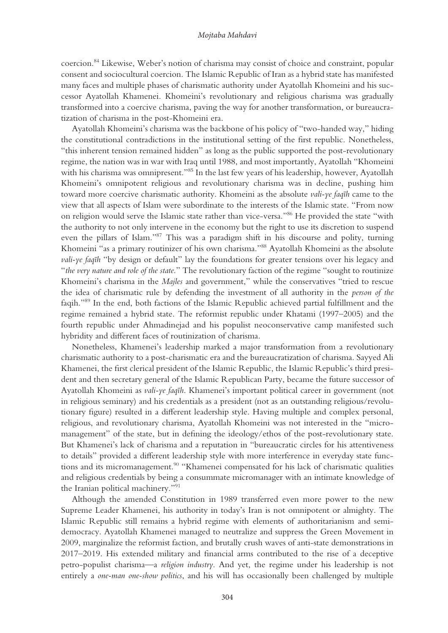coercion. 84 Likewise, Weber's notion of charisma may consist of choice and constraint, popular consent and sociocultural coercion. The Islamic Republic of Iran as a hybrid state has manifested many faces and multiple phases of charismatic authority under Ayatollah Khomeini and his successor Ayatollah Khamenei. Khomeini's revolutionary and religious charisma was gradually transformed into a coercive charisma, paving the way for another transformation, or bureaucratization of charisma in the post-Khomeini era.

Ayatollah Khomeini's charisma was the backbone of his policy of "two-handed way," hiding the constitutional contradictions in the institutional setting of the first republic. Nonetheless, "this inherent tension remained hidden" as long as the public supported the post-revolutionary regime, the nation was in war with Iraq until 1988, and most importantly, Ayatollah "Khomeini with his charisma was omnipresent."<sup>85</sup> In the last few years of his leadership, however, Ayatollah Khomeini's omnipotent religious and revolutionary charisma was in decline, pushing him toward more coercive charismatic authority. Khomeini as the absolute *vali-ye faqīh* came to the view that all aspects of Islam were subordinate to the interests of the Islamic state. "From now on religion would serve the Islamic state rather than vice-versa."<sup>86</sup> He provided the state "with the authority to not only intervene in the economy but the right to use its discretion to suspend even the pillars of Islam."87 This was a paradigm shift in his discourse and polity, turning Khomeini "as a primary routinizer of his own charisma."88 Ayatollah Khomeini as the absolute *vali-ye faqīh* "by design or default" lay the foundations for greater tensions over his legacy and "*the very nature and role of the state*." The revolutionary faction of the regime "sought to routinize Khomeini's charisma in the *Majles* and government," while the conservatives "tried to rescue the idea of charismatic rule by defending the investment of all authority in the *person of the*  faqih."89 In the end, both factions of the Islamic Republic achieved partial fulfillment and the regime remained a hybrid state. The reformist republic under Khatami (1997–2005) and the fourth republic under Ahmadinejad and his populist neoconservative camp manifested such hybridity and diferent faces of routinization of charisma.

Nonetheless, Khamenei's leadership marked a major transformation from a revolutionary charismatic authority to a post-charismatic era and the bureaucratization of charisma. Sayyed Ali Khamenei, the first clerical president of the Islamic Republic, the Islamic Republic's third president and then secretary general of the Islamic Republican Party, became the future successor of Ayatollah Khomeini as *vali-ye faqīh*. Khamenei's important political career in government (not in religious seminary) and his credentials as a president (not as an outstanding religious/revolutionary figure) resulted in a diferent leadership style. Having multiple and complex personal, religious, and revolutionary charisma, Ayatollah Khomeini was not interested in the "micromanagement" of the state, but in defining the ideology/ethos of the post-revolutionary state. But Khamenei's lack of charisma and a reputation in "bureaucratic circles for his attentiveness to details" provided a diferent leadership style with more interference in everyday state functions and its micromanagement.<sup>90</sup> "Khamenei compensated for his lack of charismatic qualities and religious credentials by being a consummate micromanager with an intimate knowledge of the Iranian political machinery."91

Although the amended Constitution in 1989 transferred even more power to the new Supreme Leader Khamenei, his authority in today's Iran is not omnipotent or almighty. The Islamic Republic still remains a hybrid regime with elements of authoritarianism and semidemocracy. Ayatollah Khamenei managed to neutralize and suppress the Green Movement in 2009, marginalize the reformist faction, and brutally crush waves of anti-state demonstrations in 2017–2019. His extended military and financial arms contributed to the rise of a deceptive petro-populist charisma—a *religion industry*. And yet, the regime under his leadership is not entirely a *one-man one-show politics*, and his will has occasionally been challenged by multiple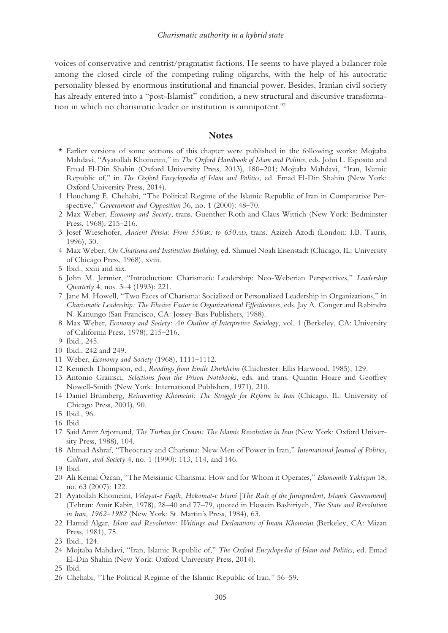voices of conservative and centrist/pragmatist factions. He seems to have played a balancer role among the closed circle of the competing ruling oligarchs, with the help of his autocratic personality blessed by enormous institutional and financial power. Besides, Iranian civil society has already entered into a "post-Islamist" condition, a new structural and discursive transformation in which no charismatic leader or institution is omnipotent. 92

#### **Notes**

- \* Earlier versions of some sections of this chapter were published in the following works: Mojtaba Mahdavi, "Ayatollah Khomeini," in *The Oxford Handbook of Islam and Politics*, eds. John L. Esposito and Emad El-Din Shahin (Oxford University Press, 2013), 180–201; Mojtaba Mahdavi, "Iran, Islamic Republic of," in *The Oxford Encyclopedia of Islam and Politics*, ed. Emad El-Din Shahin (New York: Oxford University Press, 2014).
- 1 Houchang E. Chehabi, "The Political Regime of the Islamic Republic of Iran in Comparative Perspective," *Government and Opposition* 36, no. 1 (2000): 48–70.
- 2 Max Weber, *Economy and Society*, trans. Guenther Roth and Claus Wittich (New York: Bedminster Press, 1968), 215–216.
- 3 Josef Wiesehofer, *Ancient Persia: From 550 BC to 650 AD*, trans. Azizeh Azodi (London: I.B. Tauris, 1996), 30.
- 4 Max Weber, *On Charisma and Institution Building*, ed. Shmuel Noah Eisenstadt (Chicago, IL: University of Chicago Press, 1968), xviii.
- 5 Ibid., xxiii and xix.
- 6 John M. Jermier, "Introduction: Charismatic Leadership: Neo-Weberian Perspectives," *Leadership Quarterly* 4, nos. 3–4 (1993): 221.
- 7 Jane M. Howell, "Two Faces of Charisma: Socialized or Personalized Leadership in Organizations," in *Charismatic Leadership: The Elusive Factor in Organizational Efectiveness*, eds. Jay A. Conger and Rabindra N. Kanungo (San Francisco, CA: Jossey-Bass Publishers, 1988).
- 8 Max Weber, *Economy and Society: An Outline of Interpretive Sociology*, vol. 1 (Berkeley, CA: University of California Press, 1978), 215–216.
- 9 Ibid., 245.
- 10 Ibid., 242 and 249.
- 11 Weber, *Economy and Society* (1968), 1111–1112.
- 12 Kenneth Thompson, ed., *Readings from Emile Durkheim* (Chichester: Ellis Harwood, 1985), 129.
- 13 Antonio Gramsci, *Selections from the Prison Notebooks*, eds. and trans. Quintin Hoare and Geofrey Nowell-Smith (New York: International Publishers, 1971), 210.
- 14 Daniel Brumberg, *Reinventing Khomeini: The Struggle for Reform in Iran* (Chicago, IL: University of Chicago Press, 2001), 90.

- 17 Said Amir Arjomand, *The Turban for Crown: The Islamic Revolution in Iran* (New York: Oxford University Press, 1988), 104.
- 18 Ahmad Ashraf, "Theocracy and Charisma: New Men of Power in Iran," *International Journal of Politics, Culture, and Society* 4, no. 1 (1990): 113, 114, and 146.

- 20 Ali Kemal Özcan, "The Messianic Charisma: How and for Whom it Operates," *Ekonomik Yaklaşım* 18, no. 63 (2007): 122.
- 21 Ayatollah Khomeini, *Velayat-e Faqih, Hokomat-e Islami* [*The Rule of the Jurisprudent, Islamic Government*] (Tehran: Amir Kabir, 1978), 28–40 and 77–79, quoted in Hossein Bashiriyeh, *The State and Revolution in Iran, 1962–1982* (New York: St. Martin's Press, 1984), 63.
- 22 Hamid Algar, *Islam and Revolution: Writings and Declarations of Imam Khomeini* (Berkeley, CA: Mizan Press, 1981), 75.

- 24 Mojtaba Mahdavi, "Iran, Islamic Republic of," *The Oxford Encyclopedia of Islam and Politics*, ed. Emad El-Din Shahin (New York: Oxford University Press, 2014).
- 25 Ibid.
- 26 Chehabi, "The Political Regime of the Islamic Republic of Iran," 56–59.

<sup>15</sup> Ibid., 96.

<sup>16</sup> Ibid.

<sup>19</sup> Ibid.

<sup>23</sup> Ibid., 124.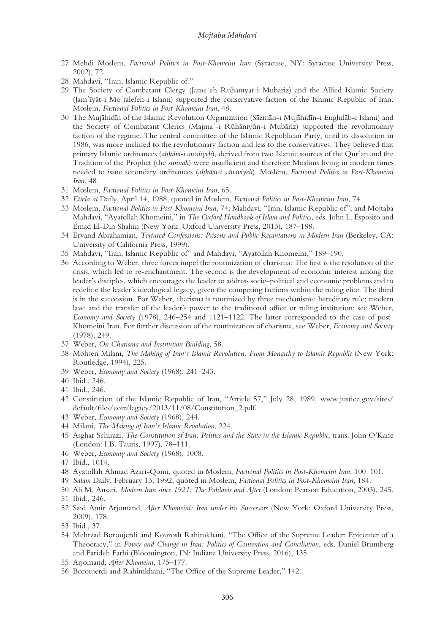- 27 Mehdi Moslem, *Factional Politics in Post-Khomeini Iran* (Syracuse, NY: Syracuse University Press, 2002), 72.
- 28 Mahdavi, "Iran, Islamic Republic of."
- 29 The Society of Combatant Clergy (Jāmeʿeh Rūhānīyat-i Mubāriz) and the Allied Islamic Society (Jamʿīyāt-i Moʾtalefeh-i Islami) supported the conservative faction of the Islamic Republic of Iran. Moslem, *Factional Politics in Post-Khomeini Iran*, 48.
- 30 The Mujāhidīn of the Islamic Revolution Organization (Sāzmān-i Mujāhidīn-i Enghilāb-i Islami) and the Society of Combatant Clerics (Majmaʿ-i Rūhāniyūn-i Mubāriz) supported the revolutionary faction of the regime. The central committee of the Islamic Republican Party, until its dissolution in 1986, was more inclined to the revolutionary faction and less to the conservatives. They believed that primary Islamic ordinances (*ah.kām-i awaliyeh*), derived from two Islamic sources of the Qurʾan and the Tradition of the Prophet (the *sunnah*) were insufficient and therefore Muslims living in modern times needed to issue secondary ordinances (*ah.kām-i sānaviyeh*). Moslem, *Factional Politics in Post-Khomeini Iran*, 48.
- 31 Moslem, *Factional Politics in Post-Khomeini Iran*, 65.
- 32 *Ettelaʾat* Daily, April 14, 1988, quoted in Moslem, *Factional Politics in Post-Khomeini Iran*, 74.
- 33 Moslem, *Factional Politics in Post-Khomeini Iran*, 74; Mahdavi, "Iran, Islamic Republic of"; and Mojtaba Mahdavi, "Ayatollah Khomeini," in *The Oxford Handbook of Islam and Politics*, eds. John L. Esposito and Emad El-Din Shahin (New York: Oxford University Press, 2013), 187–188.
- 34 Ervand Abrahamian, *Tortured Confessions: Prisons and Public Recantations in Modern Iran* (Berkeley, CA: University of California Press, 1999).
- 35 Mahdavi, "Iran, Islamic Republic of" and Mahdavi, "Ayatollah Khomeini," 189–190.
- 36 According to Weber, three forces impel the routinization of charisma: The first is the resolution of the crisis, which led to re-enchantment. The second is the development of economic interest among the leader's disciples, which encourages the leader to address socio-political and economic problems and to redefine the leader's ideological legacy, given the competing factions within the ruling elite. The third is in the succession. For Weber, charisma is routinized by three mechanisms: hereditary rule; modern law; and the transfer of the leader's power to the traditional office or ruling institution; see Weber, *Economy and Society* (1978), 246–254 and 1121–1122. The latter corresponded to the case of post-Khomeini Iran. For further discussion of the routinization of charisma, see Weber, *Economy and Society*  (1978), 249.
- 37 Weber, *On Charisma and Institution Building*, 58.
- 38 Mohsen Milani, *The Making of Iran's Islamic Revolution: From Monarchy to Islamic Republic* (New York: Routledge, 1994), 225.
- 39 Weber, *Economy and Society* (1968), 241–243.
- 40 Ibid., 246.
- 41 Ibid., 246.
- 42 Constitution of the Islamic Republic of Iran, "Article 57," July 28, 1989, [www.justice.gov/sites/](http://www.justice.gov) [default/files/eoir/legacy/2013/11/08/Constitution\\_2.pdf.](http://www.justice.gov)
- 43 Weber, *Economy and Society* (1968), 244.
- 44 Milani, *The Making of Iran's Islamic Revolution*, 224.
- 45 Asghar Schirazi, *The Constitution of Iran: Politics and the State in the Islamic Republic*, trans. John O'Kane (London: I.B. Tauris, 1997), 78–111.
- 46 Weber, *Economy and Society* (1968), 1008.
- 47 Ibid., 1014.
- 48 Ayatollah Ahmad Azari-Qomi, quoted in Moslem, *Factional Politics in Post-Khomeini Iran*, 100–101.
- 49 *Salam* Daily, February 13, 1992, quoted in Moslem, *Factional Politics in Post-Khomeini Iran*, 184.
- 50 Ali M. Ansari, *Modern Iran since 1921: The Pahlavis and After* (London: Pearson Education, 2003), 245. 51 Ibid., 246.
- 52 Said Amir Arjomand, *After Khomeini: Iran under his Successors* (New York: Oxford University Press, 2009), 178.
- 53 Ibid., 37.
- 54 Mehrzad Boroujerdi and Kourosh Rahimkhani, "The Office of the Supreme Leader: Epicenter of a Theocracy," in *Power and Change in Iran: Politics of Contention and Conciliation*, eds. Daniel Brumberg and Farideh Farhi (Bloomington, IN: Indiana University Press, 2016), 135.
- 55 Arjomand, *After Khomeini*, 175–177.
- 56 Boroujerdi and Rahimkhani, "The Office of the Supreme Leader," 142.